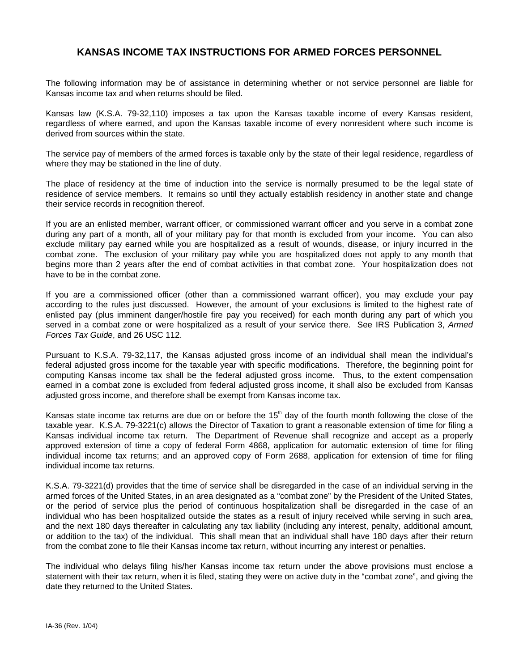## **KANSAS INCOME TAX INSTRUCTIONS FOR ARMED FORCES PERSONNEL**

The following information may be of assistance in determining whether or not service personnel are liable for Kansas income tax and when returns should be filed.

Kansas law (K.S.A. 79-32,110) imposes a tax upon the Kansas taxable income of every Kansas resident, regardless of where earned, and upon the Kansas taxable income of every nonresident where such income is derived from sources within the state.

The service pay of members of the armed forces is taxable only by the state of their legal residence, regardless of where they may be stationed in the line of duty.

The place of residency at the time of induction into the service is normally presumed to be the legal state of residence of service members. It remains so until they actually establish residency in another state and change their service records in recognition thereof.

If you are an enlisted member, warrant officer, or commissioned warrant officer and you serve in a combat zone during any part of a month, all of your military pay for that month is excluded from your income. You can also exclude military pay earned while you are hospitalized as a result of wounds, disease, or injury incurred in the combat zone. The exclusion of your military pay while you are hospitalized does not apply to any month that begins more than 2 years after the end of combat activities in that combat zone. Your hospitalization does not have to be in the combat zone.

If you are a commissioned officer (other than a commissioned warrant officer), you may exclude your pay according to the rules just discussed. However, the amount of your exclusions is limited to the highest rate of enlisted pay (plus imminent danger/hostile fire pay you received) for each month during any part of which you served in a combat zone or were hospitalized as a result of your service there. See IRS Publication 3, Armed Forces Tax Guide, and 26 USC 112.

Pursuant to K.S.A. 79-32,117, the Kansas adjusted gross income of an individual shall mean the individual's federal adjusted gross income for the taxable year with specific modifications. Therefore, the beginning point for computing Kansas income tax shall be the federal adjusted gross income. Thus, to the extent compensation earned in a combat zone is excluded from federal adjusted gross income, it shall also be excluded from Kansas adjusted gross income, and therefore shall be exempt from Kansas income tax.

Kansas state income tax returns are due on or before the  $15<sup>th</sup>$  day of the fourth month following the close of the taxable year. K.S.A. 79-3221(c) allows the Director of Taxation to grant a reasonable extension of time for filing a Kansas individual income tax return. The Department of Revenue shall recognize and accept as a properly approved extension of time a copy of federal Form 4868, application for automatic extension of time for filing individual income tax returns; and an approved copy of Form 2688, application for extension of time for filing individual income tax returns.

K.S.A. 79-3221(d) provides that the time of service shall be disregarded in the case of an individual serving in the armed forces of the United States, in an area designated as a "combat zone" by the President of the United States, or the period of service plus the period of continuous hospitalization shall be disregarded in the case of an individual who has been hospitalized outside the states as a result of injury received while serving in such area, and the next 180 days thereafter in calculating any tax liability (including any interest, penalty, additional amount, or addition to the tax) of the individual. This shall mean that an individual shall have 180 days after their return from the combat zone to file their Kansas income tax return, without incurring any interest or penalties.

The individual who delays filing his/her Kansas income tax return under the above provisions must enclose a statement with their tax return, when it is filed, stating they were on active duty in the "combat zone", and giving the date they returned to the United States.